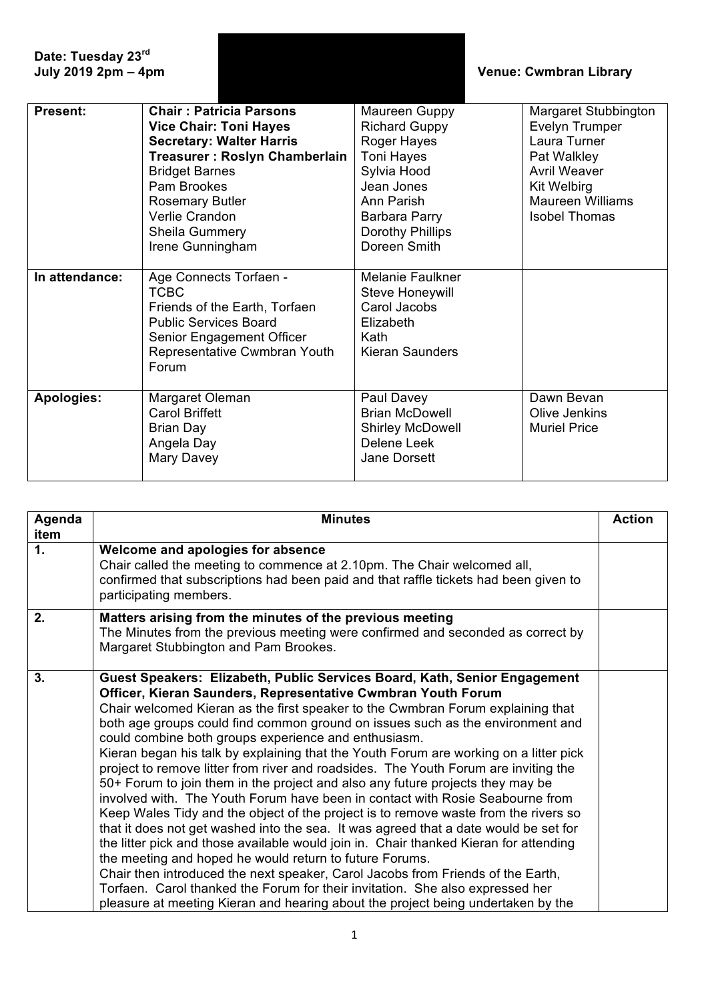| Date: Tuesday 23rd<br>July 2019 2pm - 4pm |                                                                                                                                                                                                                                                               |                                                                                                                                                                           | <b>Venue: Cwmbran Library</b>                                                                                                                                                |  |
|-------------------------------------------|---------------------------------------------------------------------------------------------------------------------------------------------------------------------------------------------------------------------------------------------------------------|---------------------------------------------------------------------------------------------------------------------------------------------------------------------------|------------------------------------------------------------------------------------------------------------------------------------------------------------------------------|--|
| <b>Present:</b>                           | <b>Chair: Patricia Parsons</b><br><b>Vice Chair: Toni Hayes</b><br><b>Secretary: Walter Harris</b><br>Treasurer: Roslyn Chamberlain<br><b>Bridget Barnes</b><br>Pam Brookes<br><b>Rosemary Butler</b><br>Verlie Crandon<br>Sheila Gummery<br>Irene Gunningham | Maureen Guppy<br><b>Richard Guppy</b><br>Roger Hayes<br><b>Toni Hayes</b><br>Sylvia Hood<br>Jean Jones<br>Ann Parish<br>Barbara Parry<br>Dorothy Phillips<br>Doreen Smith | Margaret Stubbington<br><b>Evelyn Trumper</b><br>Laura Turner<br>Pat Walkley<br><b>Avril Weaver</b><br><b>Kit Welbirg</b><br><b>Maureen Williams</b><br><b>Isobel Thomas</b> |  |
| In attendance:                            | Age Connects Torfaen -<br><b>TCBC</b><br>Friends of the Earth, Torfaen<br><b>Public Services Board</b><br>Senior Engagement Officer<br>Representative Cwmbran Youth<br>Forum                                                                                  | Melanie Faulkner<br><b>Steve Honeywill</b><br>Carol Jacobs<br>Elizabeth<br>Kath<br><b>Kieran Saunders</b>                                                                 |                                                                                                                                                                              |  |
| <b>Apologies:</b>                         | Margaret Oleman<br><b>Carol Briffett</b><br><b>Brian Day</b><br>Angela Day<br>Mary Davey                                                                                                                                                                      | Paul Davey<br><b>Brian McDowell</b><br><b>Shirley McDowell</b><br>Delene Leek<br>Jane Dorsett                                                                             | Dawn Bevan<br>Olive Jenkins<br><b>Muriel Price</b>                                                                                                                           |  |

| Agenda<br>item | <b>Minutes</b>                                                                                                                                                                                                                                                                                                                                                                                                                                                                                                                                                                                                                                                                                                                                                                                                                                                                                                                                                                                                                                                                                                                                                                                                                                                                                                       | <b>Action</b> |
|----------------|----------------------------------------------------------------------------------------------------------------------------------------------------------------------------------------------------------------------------------------------------------------------------------------------------------------------------------------------------------------------------------------------------------------------------------------------------------------------------------------------------------------------------------------------------------------------------------------------------------------------------------------------------------------------------------------------------------------------------------------------------------------------------------------------------------------------------------------------------------------------------------------------------------------------------------------------------------------------------------------------------------------------------------------------------------------------------------------------------------------------------------------------------------------------------------------------------------------------------------------------------------------------------------------------------------------------|---------------|
| $\mathbf 1$ .  | Welcome and apologies for absence<br>Chair called the meeting to commence at 2.10pm. The Chair welcomed all,<br>confirmed that subscriptions had been paid and that raffle tickets had been given to<br>participating members.                                                                                                                                                                                                                                                                                                                                                                                                                                                                                                                                                                                                                                                                                                                                                                                                                                                                                                                                                                                                                                                                                       |               |
| 2.             | Matters arising from the minutes of the previous meeting<br>The Minutes from the previous meeting were confirmed and seconded as correct by<br>Margaret Stubbington and Pam Brookes.                                                                                                                                                                                                                                                                                                                                                                                                                                                                                                                                                                                                                                                                                                                                                                                                                                                                                                                                                                                                                                                                                                                                 |               |
| 3.             | Guest Speakers: Elizabeth, Public Services Board, Kath, Senior Engagement<br>Officer, Kieran Saunders, Representative Cwmbran Youth Forum<br>Chair welcomed Kieran as the first speaker to the Cwmbran Forum explaining that<br>both age groups could find common ground on issues such as the environment and<br>could combine both groups experience and enthusiasm.<br>Kieran began his talk by explaining that the Youth Forum are working on a litter pick<br>project to remove litter from river and roadsides. The Youth Forum are inviting the<br>50+ Forum to join them in the project and also any future projects they may be<br>involved with. The Youth Forum have been in contact with Rosie Seabourne from<br>Keep Wales Tidy and the object of the project is to remove waste from the rivers so<br>that it does not get washed into the sea. It was agreed that a date would be set for<br>the litter pick and those available would join in. Chair thanked Kieran for attending<br>the meeting and hoped he would return to future Forums.<br>Chair then introduced the next speaker, Carol Jacobs from Friends of the Earth,<br>Torfaen. Carol thanked the Forum for their invitation. She also expressed her<br>pleasure at meeting Kieran and hearing about the project being undertaken by the |               |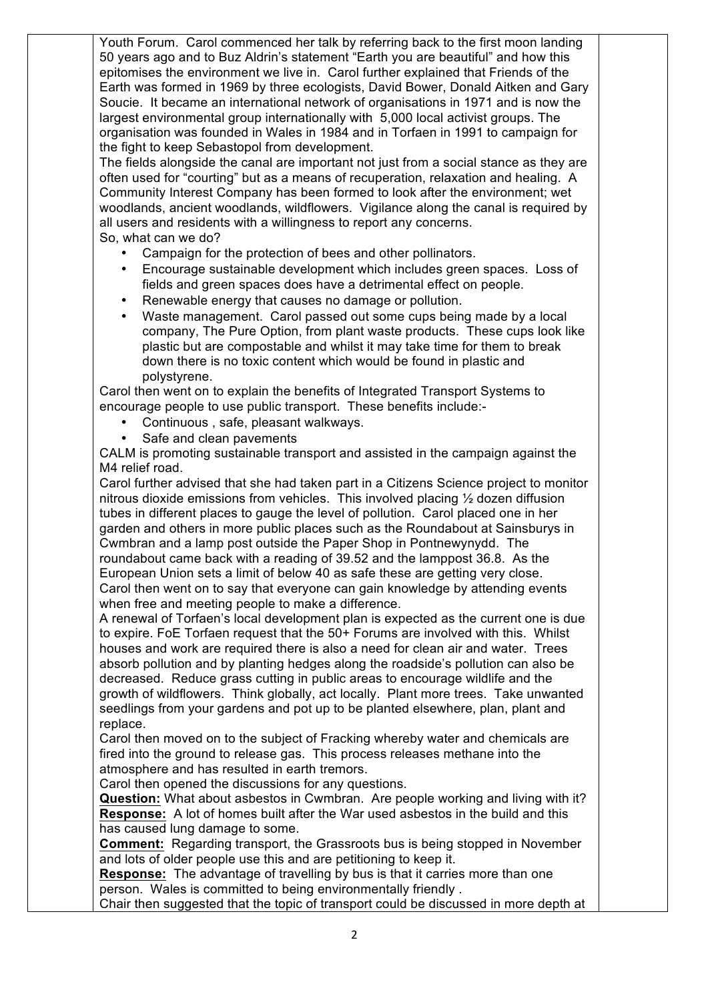Youth Forum. Carol commenced her talk by referring back to the first moon landing 50 years ago and to Buz Aldrin's statement "Earth you are beautiful" and how this epitomises the environment we live in. Carol further explained that Friends of the Earth was formed in 1969 by three ecologists, David Bower, Donald Aitken and Gary Soucie. It became an international network of organisations in 1971 and is now the largest environmental group internationally with 5,000 local activist groups. The organisation was founded in Wales in 1984 and in Torfaen in 1991 to campaign for the fight to keep Sebastopol from development.

The fields alongside the canal are important not just from a social stance as they are often used for "courting" but as a means of recuperation, relaxation and healing. A Community Interest Company has been formed to look after the environment; wet woodlands, ancient woodlands, wildflowers. Vigilance along the canal is required by all users and residents with a willingness to report any concerns. So, what can we do?

Campaign for the protection of bees and other pollinators.

- Encourage sustainable development which includes green spaces. Loss of fields and green spaces does have a detrimental effect on people.
- Renewable energy that causes no damage or pollution.
- Waste management. Carol passed out some cups being made by a local company, The Pure Option, from plant waste products. These cups look like plastic but are compostable and whilst it may take time for them to break down there is no toxic content which would be found in plastic and polystyrene.

Carol then went on to explain the benefits of Integrated Transport Systems to encourage people to use public transport. These benefits include:-

- Continuous , safe, pleasant walkways.
- Safe and clean pavements

CALM is promoting sustainable transport and assisted in the campaign against the M4 relief road.

Carol further advised that she had taken part in a Citizens Science project to monitor nitrous dioxide emissions from vehicles. This involved placing ½ dozen diffusion tubes in different places to gauge the level of pollution. Carol placed one in her garden and others in more public places such as the Roundabout at Sainsburys in Cwmbran and a lamp post outside the Paper Shop in Pontnewynydd. The roundabout came back with a reading of 39.52 and the lamppost 36.8. As the European Union sets a limit of below 40 as safe these are getting very close. Carol then went on to say that everyone can gain knowledge by attending events when free and meeting people to make a difference.

A renewal of Torfaen's local development plan is expected as the current one is due to expire. FoE Torfaen request that the 50+ Forums are involved with this. Whilst houses and work are required there is also a need for clean air and water. Trees absorb pollution and by planting hedges along the roadside's pollution can also be decreased. Reduce grass cutting in public areas to encourage wildlife and the growth of wildflowers. Think globally, act locally. Plant more trees. Take unwanted seedlings from your gardens and pot up to be planted elsewhere, plan, plant and replace.

Carol then moved on to the subject of Fracking whereby water and chemicals are fired into the ground to release gas. This process releases methane into the atmosphere and has resulted in earth tremors.

Carol then opened the discussions for any questions.

**Question:** What about asbestos in Cwmbran. Are people working and living with it? **Response:** A lot of homes built after the War used asbestos in the build and this has caused lung damage to some.

**Comment:** Regarding transport, the Grassroots bus is being stopped in November and lots of older people use this and are petitioning to keep it.

**Response:** The advantage of travelling by bus is that it carries more than one person. Wales is committed to being environmentally friendly .

Chair then suggested that the topic of transport could be discussed in more depth at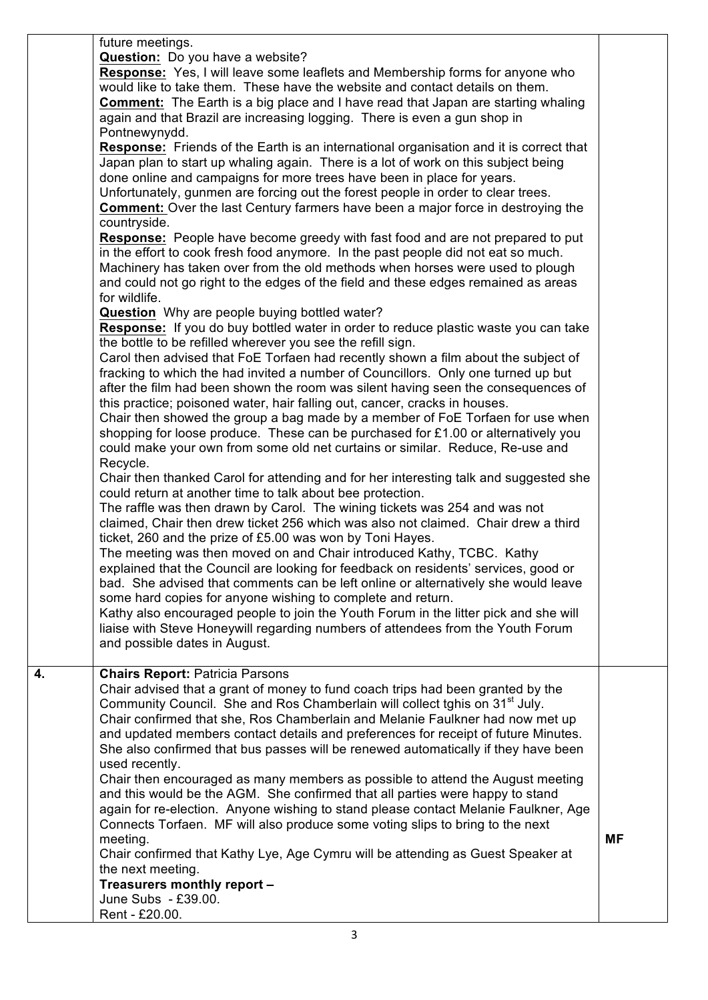|    | future meetings.<br>Question: Do you have a website?<br><b>Response:</b> Yes, I will leave some leaflets and Membership forms for anyone who<br>would like to take them. These have the website and contact details on them.<br><b>Comment:</b> The Earth is a big place and I have read that Japan are starting whaling<br>again and that Brazil are increasing logging. There is even a gun shop in<br>Pontnewynydd.<br><b>Response:</b> Friends of the Earth is an international organisation and it is correct that<br>Japan plan to start up whaling again. There is a lot of work on this subject being<br>done online and campaigns for more trees have been in place for years.<br>Unfortunately, gunmen are forcing out the forest people in order to clear trees.<br><b>Comment:</b> Over the last Century farmers have been a major force in destroying the<br>countryside.<br><b>Response:</b> People have become greedy with fast food and are not prepared to put<br>in the effort to cook fresh food anymore. In the past people did not eat so much.<br>Machinery has taken over from the old methods when horses were used to plough<br>and could not go right to the edges of the field and these edges remained as areas<br>for wildlife.<br>Question Why are people buying bottled water?<br><b>Response:</b> If you do buy bottled water in order to reduce plastic waste you can take<br>the bottle to be refilled wherever you see the refill sign.<br>Carol then advised that FoE Torfaen had recently shown a film about the subject of<br>fracking to which the had invited a number of Councillors. Only one turned up but<br>after the film had been shown the room was silent having seen the consequences of<br>this practice; poisoned water, hair falling out, cancer, cracks in houses.<br>Chair then showed the group a bag made by a member of FoE Torfaen for use when<br>shopping for loose produce. These can be purchased for £1.00 or alternatively you<br>could make your own from some old net curtains or similar. Reduce, Re-use and<br>Recycle.<br>Chair then thanked Carol for attending and for her interesting talk and suggested she<br>could return at another time to talk about bee protection.<br>The raffle was then drawn by Carol. The wining tickets was 254 and was not<br>claimed, Chair then drew ticket 256 which was also not claimed. Chair drew a third<br>ticket, 260 and the prize of £5.00 was won by Toni Hayes.<br>The meeting was then moved on and Chair introduced Kathy, TCBC. Kathy<br>explained that the Council are looking for feedback on residents' services, good or<br>bad. She advised that comments can be left online or alternatively she would leave<br>some hard copies for anyone wishing to complete and return.<br>Kathy also encouraged people to join the Youth Forum in the litter pick and she will<br>liaise with Steve Honeywill regarding numbers of attendees from the Youth Forum<br>and possible dates in August. |           |
|----|-----------------------------------------------------------------------------------------------------------------------------------------------------------------------------------------------------------------------------------------------------------------------------------------------------------------------------------------------------------------------------------------------------------------------------------------------------------------------------------------------------------------------------------------------------------------------------------------------------------------------------------------------------------------------------------------------------------------------------------------------------------------------------------------------------------------------------------------------------------------------------------------------------------------------------------------------------------------------------------------------------------------------------------------------------------------------------------------------------------------------------------------------------------------------------------------------------------------------------------------------------------------------------------------------------------------------------------------------------------------------------------------------------------------------------------------------------------------------------------------------------------------------------------------------------------------------------------------------------------------------------------------------------------------------------------------------------------------------------------------------------------------------------------------------------------------------------------------------------------------------------------------------------------------------------------------------------------------------------------------------------------------------------------------------------------------------------------------------------------------------------------------------------------------------------------------------------------------------------------------------------------------------------------------------------------------------------------------------------------------------------------------------------------------------------------------------------------------------------------------------------------------------------------------------------------------------------------------------------------------------------------------------------------------------------------------------------------------------------------------------------------------------------------------------------------------------------------------------------------------------------------------------------------------------------------------------------------------------------------------------------------------------|-----------|
| 4. | <b>Chairs Report: Patricia Parsons</b><br>Chair advised that a grant of money to fund coach trips had been granted by the<br>Community Council. She and Ros Chamberlain will collect tghis on 31 <sup>st</sup> July.<br>Chair confirmed that she, Ros Chamberlain and Melanie Faulkner had now met up<br>and updated members contact details and preferences for receipt of future Minutes.<br>She also confirmed that bus passes will be renewed automatically if they have been<br>used recently.<br>Chair then encouraged as many members as possible to attend the August meeting<br>and this would be the AGM. She confirmed that all parties were happy to stand<br>again for re-election. Anyone wishing to stand please contact Melanie Faulkner, Age<br>Connects Torfaen. MF will also produce some voting slips to bring to the next<br>meeting.<br>Chair confirmed that Kathy Lye, Age Cymru will be attending as Guest Speaker at<br>the next meeting.<br>Treasurers monthly report -<br>June Subs - £39.00.                                                                                                                                                                                                                                                                                                                                                                                                                                                                                                                                                                                                                                                                                                                                                                                                                                                                                                                                                                                                                                                                                                                                                                                                                                                                                                                                                                                                                                                                                                                                                                                                                                                                                                                                                                                                                                                                                                                                                                                              | <b>MF</b> |
|    | Rent - £20.00.                                                                                                                                                                                                                                                                                                                                                                                                                                                                                                                                                                                                                                                                                                                                                                                                                                                                                                                                                                                                                                                                                                                                                                                                                                                                                                                                                                                                                                                                                                                                                                                                                                                                                                                                                                                                                                                                                                                                                                                                                                                                                                                                                                                                                                                                                                                                                                                                                                                                                                                                                                                                                                                                                                                                                                                                                                                                                                                                                                                                        |           |